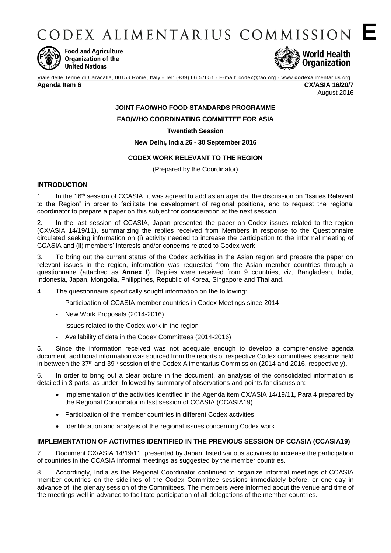CODEX ALIMENTARIUS COMMISSION E



**Food and Agriculture** Organization of the **United Nations** 



Viale delle Terme di Caracalla, 00153 Rome, Italy - Tel: (+39) 06 57051 - E-mail: codex@fao.org - www.codexalimentarius.org **Agenda Item 6 CX/ASIA 16/20/7**

August 2016

# **JOINT FAO/WHO FOOD STANDARDS PROGRAMME**

**FAO/WHO COORDINATING COMMITTEE FOR ASIA**

**Twentieth Session**

**New Delhi, India 26 - 30 September 2016**

# **CODEX WORK RELEVANT TO THE REGION**

(Prepared by the Coordinator)

## **INTRODUCTION**

1. In the 16th session of CCASIA, it was agreed to add as an agenda, the discussion on "Issues Relevant to the Region" in order to facilitate the development of regional positions, and to request the regional coordinator to prepare a paper on this subject for consideration at the next session.

2. In the last session of CCASIA, Japan presented the paper on Codex issues related to the region (CX/ASIA 14/19/11), summarizing the replies received from Members in response to the Questionnaire circulated seeking information on (i) activity needed to increase the participation to the informal meeting of CCASIA and (ii) members' interests and/or concerns related to Codex work.

3. To bring out the current status of the Codex activities in the Asian region and prepare the paper on relevant issues in the region, information was requested from the Asian member countries through a questionnaire (attached as **Annex I**). Replies were received from 9 countries, viz, Bangladesh, India, Indonesia, Japan, Mongolia, Philippines, Republic of Korea, Singapore and Thailand.

- 4. The questionnaire specifically sought information on the following:
	- Participation of CCASIA member countries in Codex Meetings since 2014
	- New Work Proposals (2014-2016)
	- Issues related to the Codex work in the region
	- Availability of data in the Codex Committees (2014-2016)

5. Since the information received was not adequate enough to develop a comprehensive agenda document, additional information was sourced from the reports of respective Codex committees' sessions held in between the 37<sup>th</sup> and 39<sup>th</sup> session of the Codex Alimentarius Commission (2014 and 2016, respectively).

6. In order to bring out a clear picture in the document, an analysis of the consolidated information is detailed in 3 parts, as under, followed by summary of observations and points for discussion:

- Implementation of the activities identified in the Agenda item CX/ASIA 14/19/11**,** Para 4 prepared by the Regional Coordinator in last session of CCASIA (CCASIA19)
- Participation of the member countries in different Codex activities
- Identification and analysis of the regional issues concerning Codex work.

## **IMPLEMENTATION OF ACTIVITIES IDENTIFIED IN THE PREVIOUS SESSION OF CCASIA (CCASIA19)**

7. Document CX/ASIA 14/19/11, presented by Japan, listed various activities to increase the participation of countries in the CCASIA informal meetings as suggested by the member countries.

8. Accordingly, India as the Regional Coordinator continued to organize informal meetings of CCASIA member countries on the sidelines of the Codex Committee sessions immediately before, or one day in advance of, the plenary session of the Committees. The members were informed about the venue and time of the meetings well in advance to facilitate participation of all delegations of the member countries.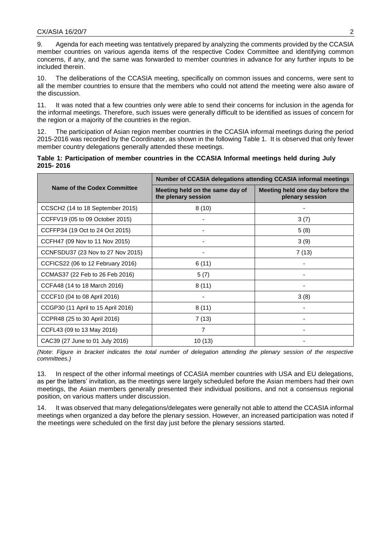9. Agenda for each meeting was tentatively prepared by analyzing the comments provided by the CCASIA member countries on various agenda items of the respective Codex Committee and identifying common concerns, if any, and the same was forwarded to member countries in advance for any further inputs to be included therein.

10. The deliberations of the CCASIA meeting, specifically on common issues and concerns, were sent to all the member countries to ensure that the members who could not attend the meeting were also aware of the discussion.

11. It was noted that a few countries only were able to send their concerns for inclusion in the agenda for the informal meetings. Therefore, such issues were generally difficult to be identified as issues of concern for the region or a majority of the countries in the region.

12. The participation of Asian region member countries in the CCASIA informal meetings during the period 2015-2016 was recorded by the Coordinator, as shown in the following Table 1. It is observed that only fewer member country delegations generally attended these meetings.

| Table 1: Participation of member countries in the CCASIA Informal meetings held during July |  |  |  |  |  |
|---------------------------------------------------------------------------------------------|--|--|--|--|--|
| 2015-2016                                                                                   |  |  |  |  |  |

|                                    | Number of CCASIA delegations attending CCASIA informal meetings |                                                    |  |  |  |
|------------------------------------|-----------------------------------------------------------------|----------------------------------------------------|--|--|--|
| Name of the Codex Committee        | Meeting held on the same day of<br>the plenary session          | Meeting held one day before the<br>plenary session |  |  |  |
| CCSCH2 (14 to 18 September 2015)   | 8(10)                                                           |                                                    |  |  |  |
| CCFFV19 (05 to 09 October 2015)    |                                                                 | 3(7)                                               |  |  |  |
| CCFFP34 (19 Oct to 24 Oct 2015)    |                                                                 | 5(8)                                               |  |  |  |
| CCFH47 (09 Nov to 11 Nov 2015)     |                                                                 | 3(9)                                               |  |  |  |
| CCNFSDU37 (23 Nov to 27 Nov 2015)  |                                                                 | 7(13)                                              |  |  |  |
| CCFICS22 (06 to 12 February 2016)  | 6(11)                                                           |                                                    |  |  |  |
| CCMAS37 (22 Feb to 26 Feb 2016)    | 5(7)                                                            |                                                    |  |  |  |
| CCFA48 (14 to 18 March 2016)       | 8(11)                                                           |                                                    |  |  |  |
| CCCF10 (04 to 08 April 2016)       |                                                                 | 3(8)                                               |  |  |  |
| CCGP30 (11 April to 15 April 2016) | 8(11)                                                           |                                                    |  |  |  |
| CCPR48 (25 to 30 April 2016)       | 7(13)                                                           |                                                    |  |  |  |
| CCFL43 (09 to 13 May 2016)         | 7                                                               |                                                    |  |  |  |
| CAC39 (27 June to 01 July 2016)    | 10(13)                                                          |                                                    |  |  |  |

*(Note*: *Figure in bracket indicates the total number of delegation attending the plenary session of the respective committees.)*

13. In respect of the other informal meetings of CCASIA member countries with USA and EU delegations, as per the latters' invitation, as the meetings were largely scheduled before the Asian members had their own meetings, the Asian members generally presented their individual positions, and not a consensus regional position, on various matters under discussion.

14. It was observed that many delegations/delegates were generally not able to attend the CCASIA informal meetings when organized a day before the plenary session. However, an increased participation was noted if the meetings were scheduled on the first day just before the plenary sessions started.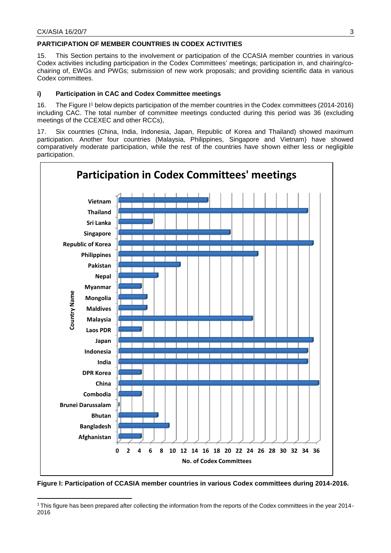## **PARTICIPATION OF MEMBER COUNTRIES IN CODEX ACTIVITIES**

15. This Section pertains to the involvement or participation of the CCASIA member countries in various Codex activities including participation in the Codex Committees' meetings; participation in, and chairing/cochairing of, EWGs and PWGs; submission of new work proposals; and providing scientific data in various Codex committees.

## **i) Participation in CAC and Codex Committee meetings**

16. The Figure I<sup>1</sup> below depicts participation of the member countries in the Codex committees (2014-2016) including CAC. The total number of committee meetings conducted during this period was 36 (excluding meetings of the CCEXEC and other RCCs),

17. Six countries (China, India, Indonesia, Japan, Republic of Korea and Thailand) showed maximum participation. Another four countries (Malaysia, Philippines, Singapore and Vietnam) have showed comparatively moderate participation, while the rest of the countries have shown either less or negligible participation.



**Figure I: Participation of CCASIA member countries in various Codex committees during 2014-2016.**

<sup>-</sup><sup>1</sup> This figure has been prepared after collecting the information from the reports of the Codex committees in the year 2014- 2016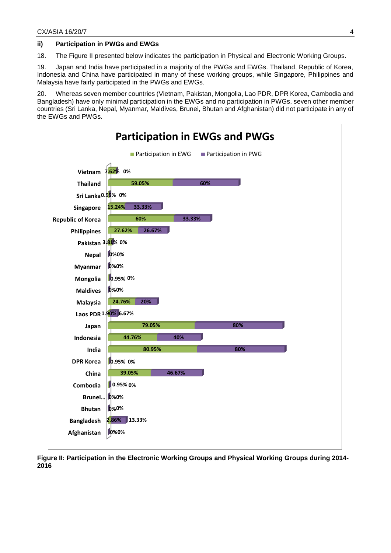### **ii) Participation in PWGs and EWGs**

18. The Figure II presented below indicates the participation in Physical and Electronic Working Groups.

19. Japan and India have participated in a majority of the PWGs and EWGs. Thailand, Republic of Korea, Indonesia and China have participated in many of these working groups, while Singapore, Philippines and Malaysia have fairly participated in the PWGs and EWGs.

20. Whereas seven member countries (Vietnam, Pakistan, Mongolia, Lao PDR, DPR Korea, Cambodia and Bangladesh) have only minimal participation in the EWGs and no participation in PWGs, seven other member countries (Sri Lanka, Nepal, Myanmar, Maldives, Brunei, Bhutan and Afghanistan) did not participate in any of the EWGs and PWGs.



**Figure II: Participation in the Electronic Working Groups and Physical Working Groups during 2014- 2016**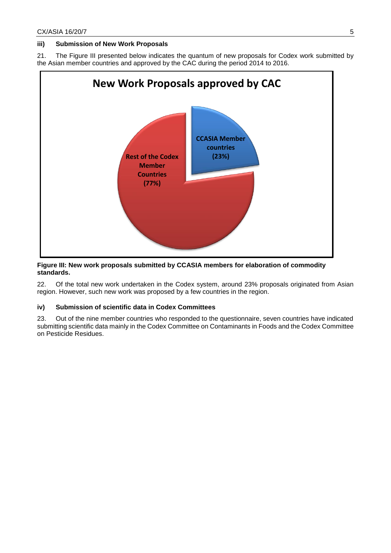### **iii) Submission of New Work Proposals**

21. The Figure III presented below indicates the quantum of new proposals for Codex work submitted by the Asian member countries and approved by the CAC during the period 2014 to 2016.



#### **Figure III: New work proposals submitted by CCASIA members for elaboration of commodity standards.**

22. Of the total new work undertaken in the Codex system, around 23% proposals originated from Asian region. However, such new work was proposed by a few countries in the region.

## **iv) Submission of scientific data in Codex Committees**

23. Out of the nine member countries who responded to the questionnaire, seven countries have indicated submitting scientific data mainly in the Codex Committee on Contaminants in Foods and the Codex Committee on Pesticide Residues.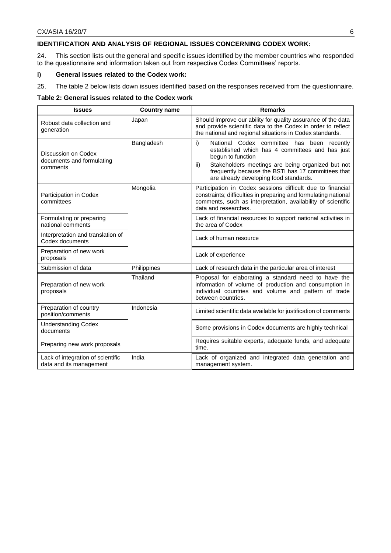## **IDENTIFICATION AND ANALYSIS OF REGIONAL ISSUES CONCERNING CODEX WORK:**

24. This section lists out the general and specific issues identified by the member countries who responded to the questionnaire and information taken out from respective Codex Committees' reports.

#### **i) General issues related to the Codex work:**

25. The table 2 below lists down issues identified based on the responses received from the questionnaire.

#### **Table 2: General issues related to the Codex work**

| <b>Issues</b>                                                | <b>Country name</b> | <b>Remarks</b>                                                                                                                                                                                                                                                                       |  |
|--------------------------------------------------------------|---------------------|--------------------------------------------------------------------------------------------------------------------------------------------------------------------------------------------------------------------------------------------------------------------------------------|--|
| Robust data collection and<br>generation                     | Japan               | Should improve our ability for quality assurance of the data<br>and provide scientific data to the Codex in order to reflect<br>the national and regional situations in Codex standards.                                                                                             |  |
| Discussion on Codex<br>documents and formulating<br>comments | Bangladesh          | i)<br>National Codex committee has been recently<br>established which has 4 committees and has just<br>begun to function<br>Stakeholders meetings are being organized but not<br>ii)<br>frequently because the BSTI has 17 committees that<br>are already developing food standards. |  |
| Participation in Codex<br>committees                         | Mongolia            | Participation in Codex sessions difficult due to financial<br>constraints; difficulties in preparing and formulating national<br>comments, such as interpretation, availability of scientific<br>data and researches.                                                                |  |
| Formulating or preparing<br>national comments                |                     | Lack of financial resources to support national activities in<br>the area of Codex                                                                                                                                                                                                   |  |
| Interpretation and translation of<br>Codex documents         |                     | Lack of human resource                                                                                                                                                                                                                                                               |  |
| Preparation of new work<br>proposals                         |                     | Lack of experience                                                                                                                                                                                                                                                                   |  |
| Submission of data                                           | Philippines         | Lack of research data in the particular area of interest                                                                                                                                                                                                                             |  |
| Preparation of new work<br>proposals                         | Thailand            | Proposal for elaborating a standard need to have the<br>information of volume of production and consumption in<br>individual countries and volume and pattern of trade<br>between countries.                                                                                         |  |
| Preparation of country<br>position/comments                  | Indonesia           | Limited scientific data available for justification of comments                                                                                                                                                                                                                      |  |
| <b>Understanding Codex</b><br>documents                      |                     | Some provisions in Codex documents are highly technical                                                                                                                                                                                                                              |  |
| Preparing new work proposals                                 |                     | Requires suitable experts, adequate funds, and adequate<br>time.                                                                                                                                                                                                                     |  |
| Lack of integration of scientific<br>data and its management | India               | Lack of organized and integrated data generation and<br>management system.                                                                                                                                                                                                           |  |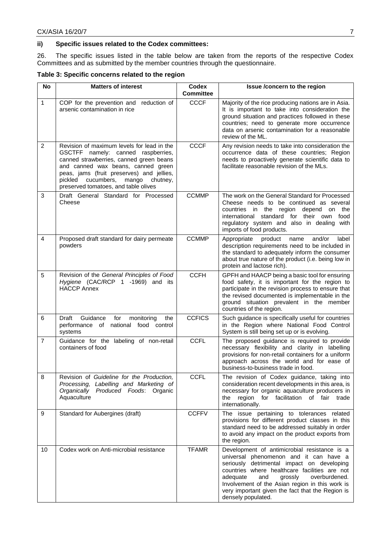## **ii) Specific issues related to the Codex committees:**

26. The specific issues listed in the table below are taken from the reports of the respective Codex Committees and as submitted by the member countries through the questionnaire.

# **Table 3: Specific concerns related to the region**

| <b>No</b>      | <b>Matters of interest</b>                                                                                                                                                                                                                                                                           | <b>Codex</b><br><b>Committee</b> | Issue /concern to the region                                                                                                                                                                                                                                                                                                                                      |
|----------------|------------------------------------------------------------------------------------------------------------------------------------------------------------------------------------------------------------------------------------------------------------------------------------------------------|----------------------------------|-------------------------------------------------------------------------------------------------------------------------------------------------------------------------------------------------------------------------------------------------------------------------------------------------------------------------------------------------------------------|
| $\mathbf{1}$   | COP for the prevention and reduction of<br>arsenic contamination in rice                                                                                                                                                                                                                             | <b>CCCF</b>                      | Majority of the rice producing nations are in Asia.<br>It is important to take into consideration the<br>ground situation and practices followed in these<br>countries; need to generate more occurrence<br>data on arsenic contamination for a reasonable<br>review of the ML.                                                                                   |
| $\overline{2}$ | Revision of maximum levels for lead in the<br>GSCTFF namely: canned raspberries,<br>canned strawberries, canned green beans<br>and canned wax beans, canned green<br>peas, jams (fruit preserves) and jellies,<br>cucumbers,<br>pickled<br>mango<br>chutney,<br>preserved tomatoes, and table olives | <b>CCCF</b>                      | Any revision needs to take into consideration the<br>occurrence data of these countries; Region<br>needs to proactively generate scientific data to<br>facilitate reasonable revision of the MLs.                                                                                                                                                                 |
| 3              | Draft General Standard for Processed<br>Cheese                                                                                                                                                                                                                                                       | <b>CCMMP</b>                     | The work on the General Standard for Processed<br>Cheese needs to be continued as several<br>countries in the region depend on<br>the<br>international standard for their own food<br>regulatory system and also in dealing with<br>imports of food products.                                                                                                     |
| 4              | Proposed draft standard for dairy permeate<br>powders                                                                                                                                                                                                                                                | <b>CCMMP</b>                     | and/or<br>Appropriate<br>product<br>name<br>label<br>description requirements need to be included in<br>the standard to adequately inform the consumer<br>about true nature of the product (i.e. being low in<br>protein and lactose rich).                                                                                                                       |
| 5              | Revision of the General Principles of Food<br>Hygiene (CAC/RCP 1 -1969) and its<br><b>HACCP Annex</b>                                                                                                                                                                                                | <b>CCFH</b>                      | GPFH and HAACP being a basic tool for ensuring<br>food safety, it is important for the region to<br>participate in the revision process to ensure that<br>the revised documented is implementable in the<br>ground situation prevalent in the member<br>countries of the region.                                                                                  |
| 6              | Guidance<br>Draft<br>for<br>monitoring<br>the<br>national<br>food control<br>performance<br>of<br>systems                                                                                                                                                                                            | <b>CCFICS</b>                    | Such guidance is specifically useful for countries<br>in the Region where National Food Control<br>System is still being set up or is evolving.                                                                                                                                                                                                                   |
| $\overline{7}$ | Guidance for the labeling of non-retail<br>containers of food                                                                                                                                                                                                                                        | <b>CCFL</b>                      | The proposed guidance is required to provide<br>necessary flexibility and clarity in labelling<br>provisions for non-retail containers for a uniform<br>approach across the world and for ease of<br>business-to-business trade in food.                                                                                                                          |
| 8              | Revision of Guideline for the Production,<br>Processing, Labelling and Marketing of<br>Produced Foods: Organic<br>Organically<br>Aquaculture                                                                                                                                                         | CCFL                             | The revision of Codex guidance, taking into<br>consideration recent developments in this area, is<br>necessary for organic aquaculture producers in<br>region for facilitation of fair<br>the<br>trade<br>internationally.                                                                                                                                        |
| 9              | Standard for Aubergines (draft)                                                                                                                                                                                                                                                                      | <b>CCFFV</b>                     | The issue pertaining to tolerances related<br>provisions for different product classes in this<br>standard need to be addressed suitably in order<br>to avoid any impact on the product exports from<br>the region.                                                                                                                                               |
| 10             | Codex work on Anti-microbial resistance                                                                                                                                                                                                                                                              | <b>TFAMR</b>                     | Development of antimicrobial resistance is a<br>universal phenomenon and it can have a<br>seriously detrimental impact on developing<br>countries where healthcare facilities are not<br>adequate<br>and<br>grossly<br>overburdened.<br>Involvement of the Asian region in this work is<br>very important given the fact that the Region is<br>densely populated. |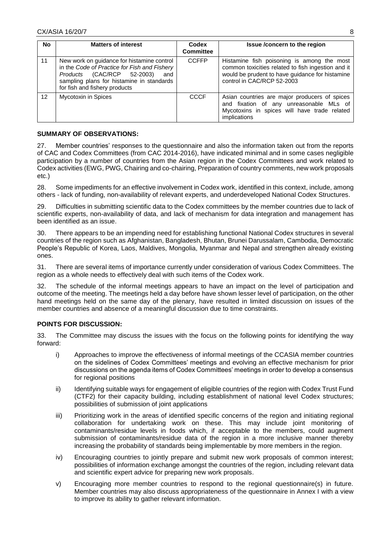| <b>No</b>         | <b>Matters of interest</b>                                                                                                                                                                                    | Codex<br><b>Committee</b> | Issue /concern to the region                                                                                                                                                      |
|-------------------|---------------------------------------------------------------------------------------------------------------------------------------------------------------------------------------------------------------|---------------------------|-----------------------------------------------------------------------------------------------------------------------------------------------------------------------------------|
| 11                | New work on guidance for histamine control<br>in the Code of Practice for Fish and Fishery<br>Products (CAC/RCP 52-2003)<br>and<br>sampling plans for histamine in standards<br>for fish and fishery products | <b>CCFFP</b>              | Histamine fish poisoning is among the most<br>common toxicities related to fish ingestion and it<br>would be prudent to have guidance for histamine<br>control in CAC/RCP 52-2003 |
| $12 \overline{ }$ | Mycotoxin in Spices                                                                                                                                                                                           | <b>CCCF</b>               | Asian countries are major producers of spices<br>and fixation of any unreasonable MLs of<br>Mycotoxins in spices will have trade related<br>implications                          |

# **SUMMARY OF OBSERVATIONS:**

27. Member countries' responses to the questionnaire and also the information taken out from the reports of CAC and Codex Committees (from CAC 2014-2016), have indicated minimal and in some cases negligible participation by a number of countries from the Asian region in the Codex Committees and work related to Codex activities (EWG, PWG, Chairing and co-chairing, Preparation of country comments, new work proposals etc.)

28. Some impediments for an effective involvement in Codex work, identified in this context, include, among others - lack of funding, non-availability of relevant experts, and underdeveloped National Codex Structures.

29. Difficulties in submitting scientific data to the Codex committees by the member countries due to lack of scientific experts, non-availability of data, and lack of mechanism for data integration and management has been identified as an issue.

30. There appears to be an impending need for establishing functional National Codex structures in several countries of the region such as Afghanistan, Bangladesh, Bhutan, Brunei Darussalam, Cambodia, Democratic People's Republic of Korea, Laos, Maldives, Mongolia, Myanmar and Nepal and strengthen already existing ones.

31. There are several items of importance currently under consideration of various Codex Committees. The region as a whole needs to effectively deal with such items of the Codex work.

32. The schedule of the informal meetings appears to have an impact on the level of participation and outcome of the meeting. The meetings held a day before have shown lesser level of participation, on the other hand meetings held on the same day of the plenary, have resulted in limited discussion on issues of the member countries and absence of a meaningful discussion due to time constraints.

## **POINTS FOR DISCUSSION:**

33. The Committee may discuss the issues with the focus on the following points for identifying the way forward:

- i) Approaches to improve the effectiveness of informal meetings of the CCASIA member countries on the sidelines of Codex Committees' meetings and evolving an effective mechanism for prior discussions on the agenda items of Codex Committees' meetings in order to develop a consensus for regional positions
- ii) Identifying suitable ways for engagement of eligible countries of the region with Codex Trust Fund (CTF2) for their capacity building, including establishment of national level Codex structures; possibilities of submission of joint applications
- iii) Prioritizing work in the areas of identified specific concerns of the region and initiating regional collaboration for undertaking work on these. This may include joint monitoring of contaminants/residue levels in foods which, if acceptable to the members, could augment submission of contaminants/residue data of the region in a more inclusive manner thereby increasing the probability of standards being implementable by more members in the region.
- iv) Encouraging countries to jointly prepare and submit new work proposals of common interest; possibilities of information exchange amongst the countries of the region, including relevant data and scientific expert advice for preparing new work proposals.
- v) Encouraging more member countries to respond to the regional questionnaire(s) in future. Member countries may also discuss appropriateness of the questionnaire in Annex I with a view to improve its ability to gather relevant information.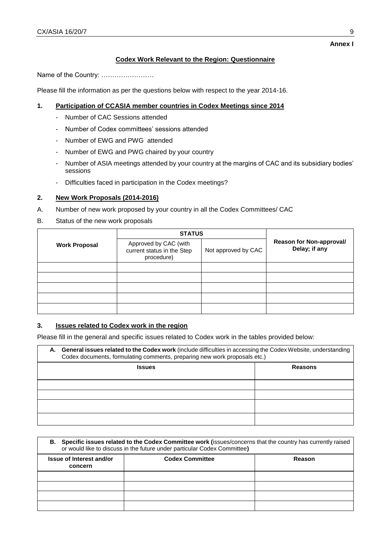# **Codex Work Relevant to the Region: Questionnaire**

Name of the Country: ……………………

Please fill the information as per the questions below with respect to the year 2014-16.

# **1. Participation of CCASIA member countries in Codex Meetings since 2014**

- Number of CAC Sessions attended
- Number of Codex committees' sessions attended
- Number of EWG and PWG attended
- Number of EWG and PWG chaired by your country
- Number of ASIA meetings attended by your country at the margins of CAC and its subsidiary bodies' sessions
- Difficulties faced in participation in the Codex meetings?

# **2. New Work Proposals (2014-2016)**

- A. Number of new work proposed by your country in all the Codex Committees/ CAC
- B. Status of the new work proposals

|                      | <b>STATUS</b>                                                     |                     |                                           |  |
|----------------------|-------------------------------------------------------------------|---------------------|-------------------------------------------|--|
| <b>Work Proposal</b> | Approved by CAC (with<br>current status in the Step<br>procedure) | Not approved by CAC | Reason for Non-approval/<br>Delay; if any |  |
|                      |                                                                   |                     |                                           |  |
|                      |                                                                   |                     |                                           |  |
|                      |                                                                   |                     |                                           |  |
|                      |                                                                   |                     |                                           |  |
|                      |                                                                   |                     |                                           |  |

# **3. Issues related to Codex work in the region**

Please fill in the general and specific issues related to Codex work in the tables provided below:

| A. General issues related to the Codex work (include difficulties in accessing the Codex Website, understanding<br>Codex documents, formulating comments, preparing new work proposals etc.) |                |  |
|----------------------------------------------------------------------------------------------------------------------------------------------------------------------------------------------|----------------|--|
| <b>Issues</b>                                                                                                                                                                                | <b>Reasons</b> |  |
|                                                                                                                                                                                              |                |  |
|                                                                                                                                                                                              |                |  |
|                                                                                                                                                                                              |                |  |
|                                                                                                                                                                                              |                |  |

| B. Specific issues related to the Codex Committee work (issues/concerns that the country has currently raised<br>or would like to discuss in the future under particular Codex Committee) |                        |        |  |  |
|-------------------------------------------------------------------------------------------------------------------------------------------------------------------------------------------|------------------------|--------|--|--|
| Issue of Interest and/or<br>concern                                                                                                                                                       | <b>Codex Committee</b> | Reason |  |  |
|                                                                                                                                                                                           |                        |        |  |  |
|                                                                                                                                                                                           |                        |        |  |  |
|                                                                                                                                                                                           |                        |        |  |  |